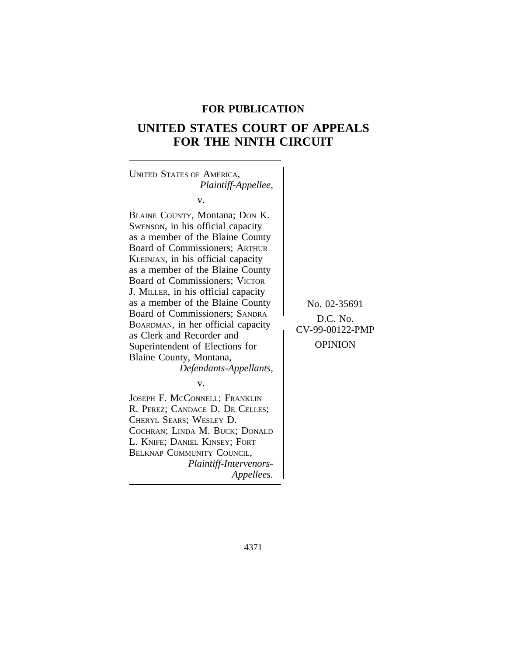## **FOR PUBLICATION**

# **UNITED STATES COURT OF APPEALS FOR THE NINTH CIRCUIT**

<sup>U</sup>NITED STATES OF AMERICA, *Plaintiff-Appellee,* v. BLAINE COUNTY, Montana; DON K. SWENSON, in his official capacity as a member of the Blaine County Board of Commissioners; ARTHUR KLEINJAN, in his official capacity as a member of the Blaine County Board of Commissioners; VICTOR J. MILLER, in his official capacity as a member of the Blaine County<br>Board of Commissioners; SANDRA BOARDMAN, in her official capacity<br>as Clerk and Recorder and<br>Superintendent of Elections for OPINION Superintendent of Elections for Blaine County, Montana, *Defendants-Appellants,* v. JOSEPH F. MCCONNELL; FRANKLIN R. PEREZ; CANDACE D. DE CELLES; CHERYL SEARS; WESLEY D. COCHRAN; LINDA M. BUCK; DONALD L. KNIFE; DANIEL KINSEY; FORT BELKNAP COMMUNITY COUNCIL, *Plaintiff-Intervenors-Appellees.*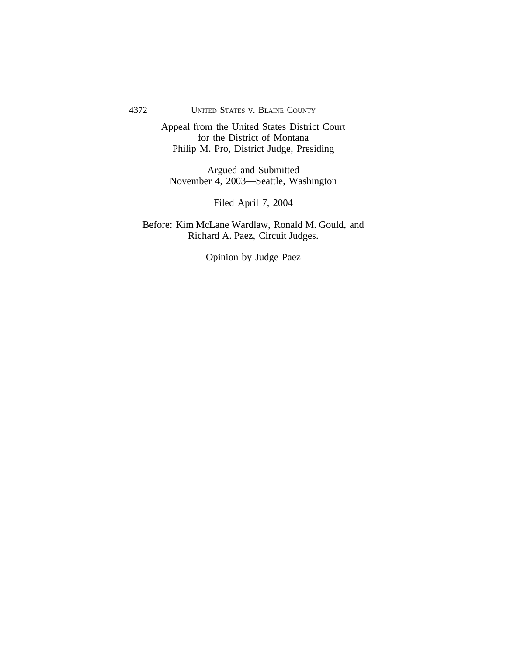Appeal from the United States District Court for the District of Montana Philip M. Pro, District Judge, Presiding

Argued and Submitted November 4, 2003—Seattle, Washington

Filed April 7, 2004

Before: Kim McLane Wardlaw, Ronald M. Gould, and Richard A. Paez, Circuit Judges.

Opinion by Judge Paez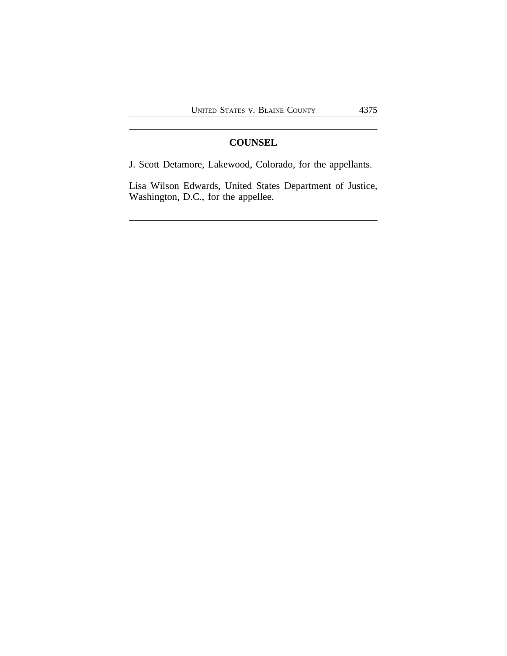## **COUNSEL**

J. Scott Detamore, Lakewood, Colorado, for the appellants.

Lisa Wilson Edwards, United States Department of Justice, Washington, D.C., for the appellee.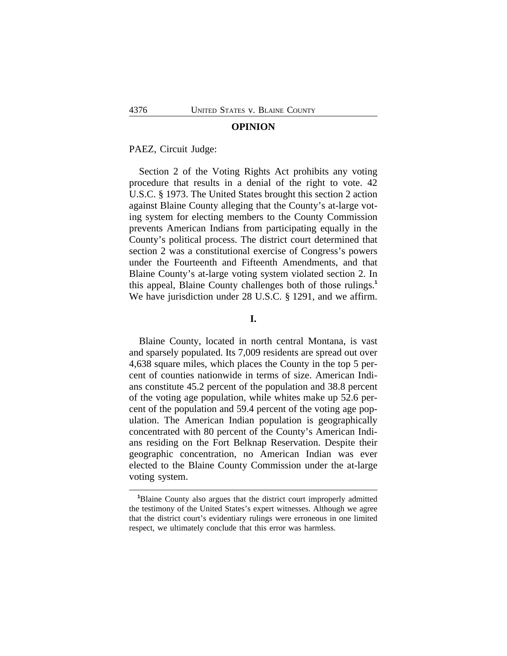#### **OPINION**

#### PAEZ, Circuit Judge:

Section 2 of the Voting Rights Act prohibits any voting procedure that results in a denial of the right to vote. 42 U.S.C. § 1973. The United States brought this section 2 action against Blaine County alleging that the County's at-large voting system for electing members to the County Commission prevents American Indians from participating equally in the County's political process. The district court determined that section 2 was a constitutional exercise of Congress's powers under the Fourteenth and Fifteenth Amendments, and that Blaine County's at-large voting system violated section 2. In this appeal, Blaine County challenges both of those rulings.**<sup>1</sup>** We have jurisdiction under 28 U.S.C. § 1291, and we affirm.

## **I.**

Blaine County, located in north central Montana, is vast and sparsely populated. Its 7,009 residents are spread out over 4,638 square miles, which places the County in the top 5 percent of counties nationwide in terms of size. American Indians constitute 45.2 percent of the population and 38.8 percent of the voting age population, while whites make up 52.6 percent of the population and 59.4 percent of the voting age population. The American Indian population is geographically concentrated with 80 percent of the County's American Indians residing on the Fort Belknap Reservation. Despite their geographic concentration, no American Indian was ever elected to the Blaine County Commission under the at-large voting system.

**<sup>1</sup>**Blaine County also argues that the district court improperly admitted the testimony of the United States's expert witnesses. Although we agree that the district court's evidentiary rulings were erroneous in one limited respect, we ultimately conclude that this error was harmless.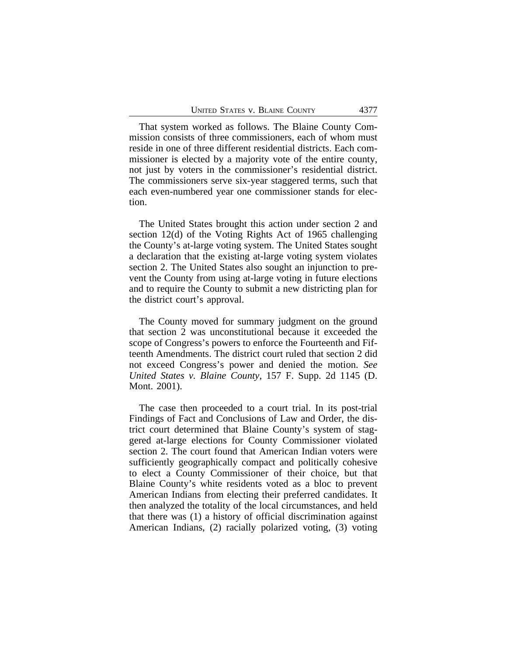That system worked as follows. The Blaine County Commission consists of three commissioners, each of whom must reside in one of three different residential districts. Each commissioner is elected by a majority vote of the entire county, not just by voters in the commissioner's residential district. The commissioners serve six-year staggered terms, such that each even-numbered year one commissioner stands for election.

The United States brought this action under section 2 and section 12(d) of the Voting Rights Act of 1965 challenging the County's at-large voting system. The United States sought a declaration that the existing at-large voting system violates section 2. The United States also sought an injunction to prevent the County from using at-large voting in future elections and to require the County to submit a new districting plan for the district court's approval.

The County moved for summary judgment on the ground that section 2 was unconstitutional because it exceeded the scope of Congress's powers to enforce the Fourteenth and Fifteenth Amendments. The district court ruled that section 2 did not exceed Congress's power and denied the motion. *See United States v. Blaine County*, 157 F. Supp. 2d 1145 (D. Mont. 2001).

The case then proceeded to a court trial. In its post-trial Findings of Fact and Conclusions of Law and Order, the district court determined that Blaine County's system of staggered at-large elections for County Commissioner violated section 2. The court found that American Indian voters were sufficiently geographically compact and politically cohesive to elect a County Commissioner of their choice, but that Blaine County's white residents voted as a bloc to prevent American Indians from electing their preferred candidates. It then analyzed the totality of the local circumstances, and held that there was (1) a history of official discrimination against American Indians, (2) racially polarized voting, (3) voting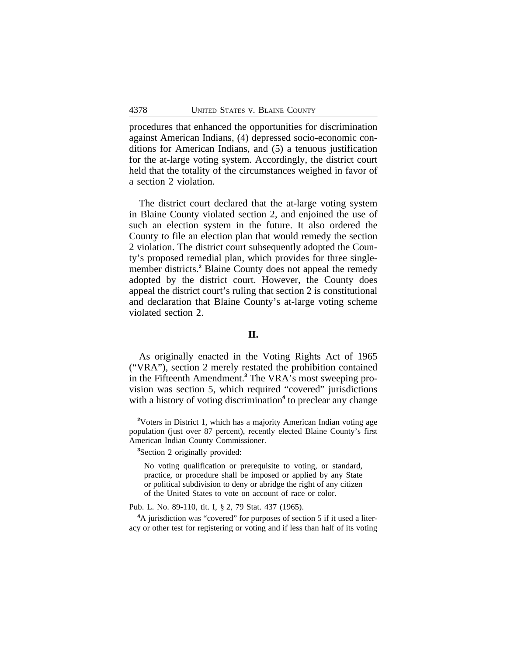procedures that enhanced the opportunities for discrimination against American Indians, (4) depressed socio-economic conditions for American Indians, and (5) a tenuous justification for the at-large voting system. Accordingly, the district court held that the totality of the circumstances weighed in favor of a section 2 violation.

The district court declared that the at-large voting system in Blaine County violated section 2, and enjoined the use of such an election system in the future. It also ordered the County to file an election plan that would remedy the section 2 violation. The district court subsequently adopted the County's proposed remedial plan, which provides for three singlemember districts.**<sup>2</sup>** Blaine County does not appeal the remedy adopted by the district court. However, the County does appeal the district court's ruling that section 2 is constitutional and declaration that Blaine County's at-large voting scheme violated section 2.

## **II.**

As originally enacted in the Voting Rights Act of 1965 ("VRA"), section 2 merely restated the prohibition contained in the Fifteenth Amendment.**<sup>3</sup>** The VRA's most sweeping provision was section 5, which required "covered" jurisdictions with a history of voting discrimination<sup>4</sup> to preclear any change

**<sup>2</sup>**Voters in District 1, which has a majority American Indian voting age population (just over 87 percent), recently elected Blaine County's first American Indian County Commissioner.

**<sup>3</sup>**Section 2 originally provided:

No voting qualification or prerequisite to voting, or standard, practice, or procedure shall be imposed or applied by any State or political subdivision to deny or abridge the right of any citizen of the United States to vote on account of race or color.

Pub. L. No. 89-110, tit. I, § 2, 79 Stat. 437 (1965).

**<sup>4</sup>**A jurisdiction was "covered" for purposes of section 5 if it used a literacy or other test for registering or voting and if less than half of its voting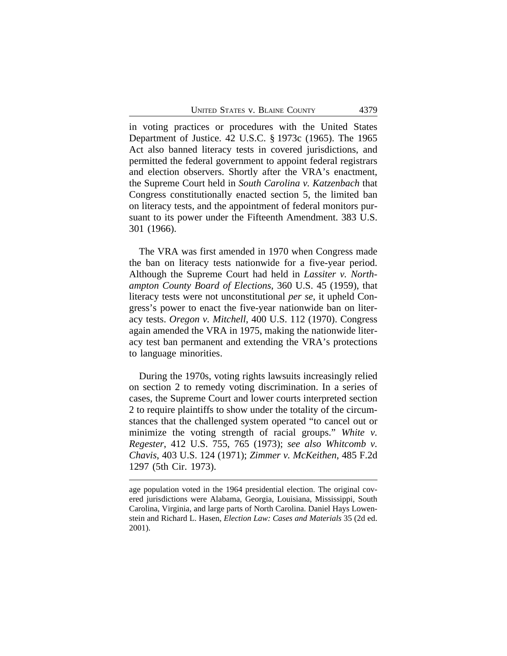in voting practices or procedures with the United States Department of Justice. 42 U.S.C. § 1973c (1965). The 1965 Act also banned literacy tests in covered jurisdictions, and permitted the federal government to appoint federal registrars and election observers. Shortly after the VRA's enactment, the Supreme Court held in *South Carolina v. Katzenbach* that Congress constitutionally enacted section 5, the limited ban on literacy tests, and the appointment of federal monitors pursuant to its power under the Fifteenth Amendment. 383 U.S. 301 (1966).

The VRA was first amended in 1970 when Congress made the ban on literacy tests nationwide for a five-year period. Although the Supreme Court had held in *Lassiter v. Northampton County Board of Elections*, 360 U.S. 45 (1959), that literacy tests were not unconstitutional *per se*, it upheld Congress's power to enact the five-year nationwide ban on literacy tests. *Oregon v. Mitchell*, 400 U.S. 112 (1970). Congress again amended the VRA in 1975, making the nationwide literacy test ban permanent and extending the VRA's protections to language minorities.

During the 1970s, voting rights lawsuits increasingly relied on section 2 to remedy voting discrimination. In a series of cases, the Supreme Court and lower courts interpreted section 2 to require plaintiffs to show under the totality of the circumstances that the challenged system operated "to cancel out or minimize the voting strength of racial groups." *White v. Regester*, 412 U.S. 755, 765 (1973); *see also Whitcomb v. Chavis*, 403 U.S. 124 (1971); *Zimmer v. McKeithen*, 485 F.2d 1297 (5th Cir. 1973).

age population voted in the 1964 presidential election. The original covered jurisdictions were Alabama, Georgia, Louisiana, Mississippi, South Carolina, Virginia, and large parts of North Carolina. Daniel Hays Lowenstein and Richard L. Hasen, *Election Law: Cases and Materials* 35 (2d ed. 2001).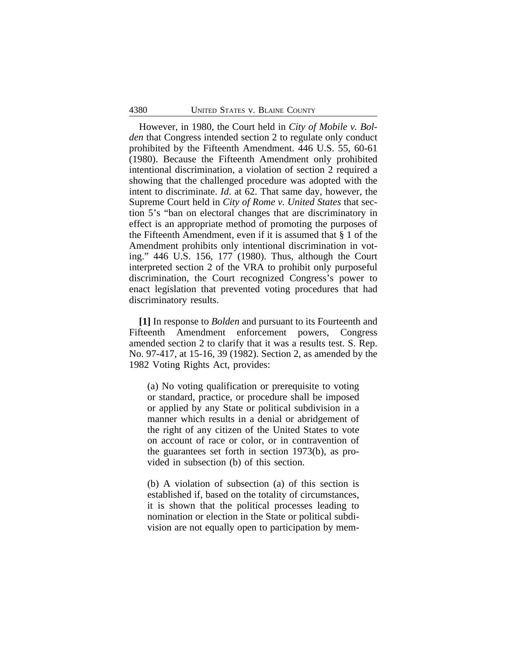However, in 1980, the Court held in *City of Mobile v. Bolden* that Congress intended section 2 to regulate only conduct prohibited by the Fifteenth Amendment. 446 U.S. 55, 60-61 (1980). Because the Fifteenth Amendment only prohibited intentional discrimination, a violation of section 2 required a showing that the challenged procedure was adopted with the intent to discriminate. *Id*. at 62. That same day, however, the Supreme Court held in *City of Rome v. United States* that section 5's "ban on electoral changes that are discriminatory in effect is an appropriate method of promoting the purposes of the Fifteenth Amendment, even if it is assumed that § 1 of the Amendment prohibits only intentional discrimination in voting." 446 U.S. 156, 177 (1980). Thus, although the Court interpreted section 2 of the VRA to prohibit only purposeful discrimination, the Court recognized Congress's power to enact legislation that prevented voting procedures that had discriminatory results.

**[1]** In response to *Bolden* and pursuant to its Fourteenth and Fifteenth Amendment enforcement powers, Congress amended section 2 to clarify that it was a results test. S. Rep. No. 97-417, at 15-16, 39 (1982). Section 2, as amended by the 1982 Voting Rights Act, provides:

(a) No voting qualification or prerequisite to voting or standard, practice, or procedure shall be imposed or applied by any State or political subdivision in a manner which results in a denial or abridgement of the right of any citizen of the United States to vote on account of race or color, or in contravention of the guarantees set forth in section 1973(b), as provided in subsection (b) of this section.

(b) A violation of subsection (a) of this section is established if, based on the totality of circumstances, it is shown that the political processes leading to nomination or election in the State or political subdivision are not equally open to participation by mem-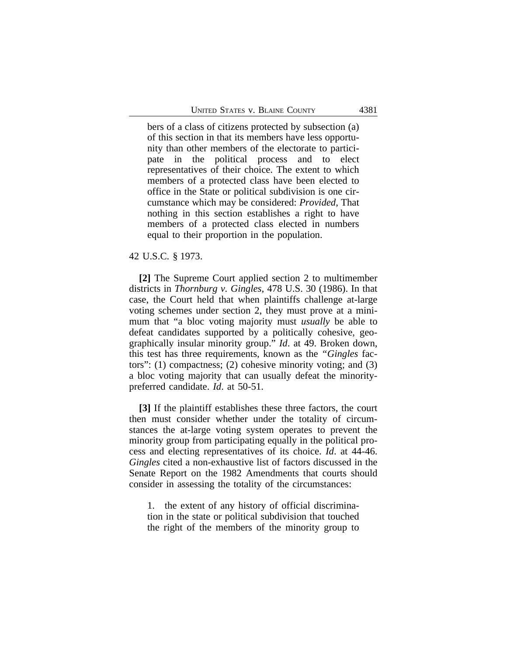bers of a class of citizens protected by subsection (a) of this section in that its members have less opportunity than other members of the electorate to participate in the political process and to elect representatives of their choice. The extent to which members of a protected class have been elected to office in the State or political subdivision is one circumstance which may be considered: *Provided*, That nothing in this section establishes a right to have members of a protected class elected in numbers equal to their proportion in the population.

#### 42 U.S.C. § 1973.

**[2]** The Supreme Court applied section 2 to multimember districts in *Thornburg v. Gingles*, 478 U.S. 30 (1986). In that case, the Court held that when plaintiffs challenge at-large voting schemes under section 2, they must prove at a minimum that "a bloc voting majority must *usually* be able to defeat candidates supported by a politically cohesive, geographically insular minority group." *Id*. at 49. Broken down, this test has three requirements, known as the *"Gingles* factors": (1) compactness; (2) cohesive minority voting; and (3) a bloc voting majority that can usually defeat the minoritypreferred candidate. *Id*. at 50-51.

**[3]** If the plaintiff establishes these three factors, the court then must consider whether under the totality of circumstances the at-large voting system operates to prevent the minority group from participating equally in the political process and electing representatives of its choice. *Id*. at 44-46. *Gingles* cited a non-exhaustive list of factors discussed in the Senate Report on the 1982 Amendments that courts should consider in assessing the totality of the circumstances:

1. the extent of any history of official discrimination in the state or political subdivision that touched the right of the members of the minority group to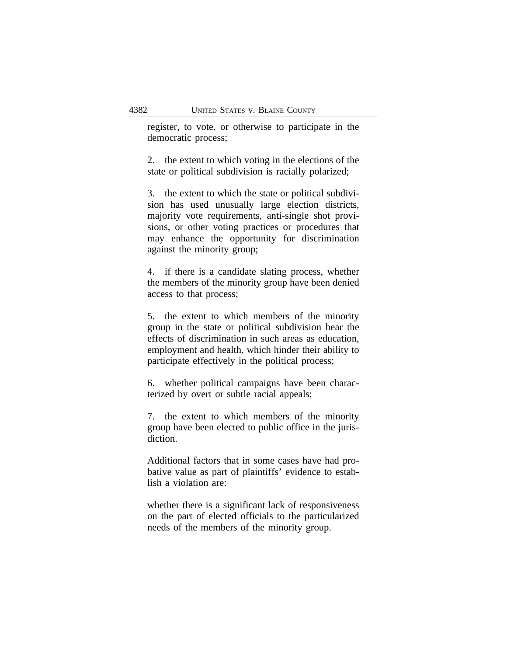register, to vote, or otherwise to participate in the democratic process;

2. the extent to which voting in the elections of the state or political subdivision is racially polarized;

3. the extent to which the state or political subdivision has used unusually large election districts, majority vote requirements, anti-single shot provisions, or other voting practices or procedures that may enhance the opportunity for discrimination against the minority group;

4. if there is a candidate slating process, whether the members of the minority group have been denied access to that process;

5. the extent to which members of the minority group in the state or political subdivision bear the effects of discrimination in such areas as education, employment and health, which hinder their ability to participate effectively in the political process;

6. whether political campaigns have been characterized by overt or subtle racial appeals;

7. the extent to which members of the minority group have been elected to public office in the jurisdiction.

Additional factors that in some cases have had probative value as part of plaintiffs' evidence to establish a violation are:

whether there is a significant lack of responsiveness on the part of elected officials to the particularized needs of the members of the minority group.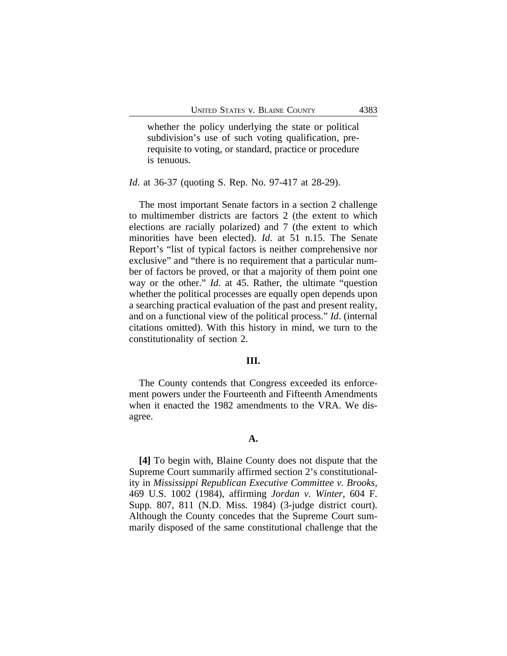whether the policy underlying the state or political subdivision's use of such voting qualification, prerequisite to voting, or standard, practice or procedure is tenuous.

*Id*. at 36-37 (quoting S. Rep. No. 97-417 at 28-29).

The most important Senate factors in a section 2 challenge to multimember districts are factors 2 (the extent to which elections are racially polarized) and 7 (the extent to which minorities have been elected). *Id*. at 51 n.15. The Senate Report's "list of typical factors is neither comprehensive nor exclusive" and "there is no requirement that a particular number of factors be proved, or that a majority of them point one way or the other." *Id*. at 45. Rather, the ultimate "question whether the political processes are equally open depends upon a searching practical evaluation of the past and present reality, and on a functional view of the political process." *Id*. (internal citations omitted). With this history in mind, we turn to the constitutionality of section 2.

## **III.**

The County contends that Congress exceeded its enforcement powers under the Fourteenth and Fifteenth Amendments when it enacted the 1982 amendments to the VRA. We disagree.

#### **A.**

**[4]** To begin with, Blaine County does not dispute that the Supreme Court summarily affirmed section 2's constitutionality in *Mississippi Republican Executive Committee v. Brooks*, 469 U.S. 1002 (1984), affirming *Jordan v. Winter*, 604 F. Supp. 807, 811 (N.D. Miss. 1984) (3-judge district court). Although the County concedes that the Supreme Court summarily disposed of the same constitutional challenge that the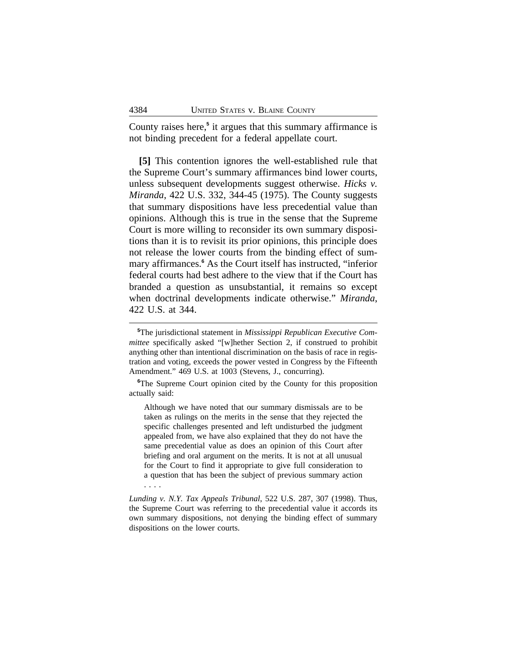County raises here,**<sup>5</sup>** it argues that this summary affirmance is not binding precedent for a federal appellate court.

**[5]** This contention ignores the well-established rule that the Supreme Court's summary affirmances bind lower courts, unless subsequent developments suggest otherwise. *Hicks v. Miranda*, 422 U.S. 332, 344-45 (1975). The County suggests that summary dispositions have less precedential value than opinions. Although this is true in the sense that the Supreme Court is more willing to reconsider its own summary dispositions than it is to revisit its prior opinions, this principle does not release the lower courts from the binding effect of summary affirmances.<sup>6</sup> As the Court itself has instructed, "inferior federal courts had best adhere to the view that if the Court has branded a question as unsubstantial, it remains so except when doctrinal developments indicate otherwise." *Miranda*, 422 U.S. at 344.

Although we have noted that our summary dismissals are to be taken as rulings on the merits in the sense that they rejected the specific challenges presented and left undisturbed the judgment appealed from, we have also explained that they do not have the same precedential value as does an opinion of this Court after briefing and oral argument on the merits. It is not at all unusual for the Court to find it appropriate to give full consideration to a question that has been the subject of previous summary action . . . .

*Lunding v. N.Y. Tax Appeals Tribunal*, 522 U.S. 287, 307 (1998). Thus, the Supreme Court was referring to the precedential value it accords its own summary dispositions, not denying the binding effect of summary dispositions on the lower courts.

**<sup>5</sup>**The jurisdictional statement in *Mississippi Republican Executive Committee* specifically asked "[w]hether Section 2, if construed to prohibit anything other than intentional discrimination on the basis of race in registration and voting, exceeds the power vested in Congress by the Fifteenth Amendment." 469 U.S. at 1003 (Stevens, J., concurring).

**<sup>6</sup>**The Supreme Court opinion cited by the County for this proposition actually said: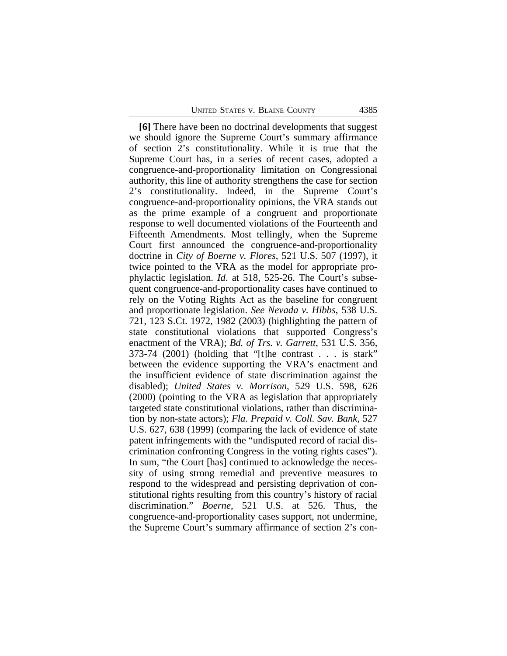**[6]** There have been no doctrinal developments that suggest we should ignore the Supreme Court's summary affirmance of section 2's constitutionality. While it is true that the Supreme Court has, in a series of recent cases, adopted a congruence-and-proportionality limitation on Congressional authority, this line of authority strengthens the case for section 2's constitutionality. Indeed, in the Supreme Court's congruence-and-proportionality opinions, the VRA stands out as the prime example of a congruent and proportionate response to well documented violations of the Fourteenth and Fifteenth Amendments. Most tellingly, when the Supreme Court first announced the congruence-and-proportionality doctrine in *City of Boerne v. Flores*, 521 U.S. 507 (1997), it twice pointed to the VRA as the model for appropriate prophylactic legislation. *Id*. at 518, 525-26. The Court's subsequent congruence-and-proportionality cases have continued to rely on the Voting Rights Act as the baseline for congruent and proportionate legislation. *See Nevada v. Hibbs*, 538 U.S. 721, 123 S.Ct. 1972, 1982 (2003) (highlighting the pattern of state constitutional violations that supported Congress's enactment of the VRA); *Bd. of Trs. v. Garrett*, 531 U.S. 356, 373-74 (2001) (holding that "[t]he contrast . . . is stark" between the evidence supporting the VRA's enactment and the insufficient evidence of state discrimination against the disabled); *United States v. Morrison*, 529 U.S. 598, 626 (2000) (pointing to the VRA as legislation that appropriately targeted state constitutional violations, rather than discrimination by non-state actors); *Fla. Prepaid v. Coll. Sav. Bank*, 527 U.S. 627, 638 (1999) (comparing the lack of evidence of state patent infringements with the "undisputed record of racial discrimination confronting Congress in the voting rights cases"). In sum, "the Court [has] continued to acknowledge the necessity of using strong remedial and preventive measures to respond to the widespread and persisting deprivation of constitutional rights resulting from this country's history of racial discrimination." *Boerne*, 521 U.S. at 526. Thus, the congruence-and-proportionality cases support, not undermine, the Supreme Court's summary affirmance of section 2's con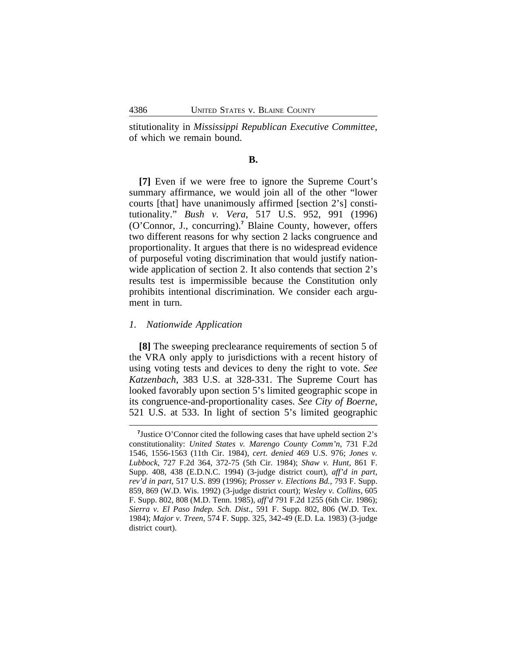stitutionality in *Mississippi Republican Executive Committee*, of which we remain bound.

## **B.**

**[7]** Even if we were free to ignore the Supreme Court's summary affirmance, we would join all of the other "lower courts [that] have unanimously affirmed [section 2's] constitutionality." *Bush v. Vera*, 517 U.S. 952, 991 (1996) (O'Connor, J., concurring).**<sup>7</sup>** Blaine County, however, offers two different reasons for why section 2 lacks congruence and proportionality. It argues that there is no widespread evidence of purposeful voting discrimination that would justify nationwide application of section 2. It also contends that section 2's results test is impermissible because the Constitution only prohibits intentional discrimination. We consider each argument in turn.

#### *1. Nationwide Application*

**[8]** The sweeping preclearance requirements of section 5 of the VRA only apply to jurisdictions with a recent history of using voting tests and devices to deny the right to vote. *See Katzenbach*, 383 U.S. at 328-331. The Supreme Court has looked favorably upon section 5's limited geographic scope in its congruence-and-proportionality cases. *See City of Boerne*, 521 U.S. at 533. In light of section 5's limited geographic

<sup>&</sup>lt;sup>7</sup>Justice O'Connor cited the following cases that have upheld section 2's constitutionality: *United States v. Marengo County Comm'n*, 731 F.2d 1546, 1556-1563 (11th Cir. 1984), *cert. denied* 469 U.S. 976; *Jones v. Lubbock*, 727 F.2d 364, 372-75 (5th Cir. 1984); *Shaw v. Hunt*, 861 F. Supp. 408, 438 (E.D.N.C. 1994) (3-judge district court), *aff'd in part, rev'd in part*, 517 U.S. 899 (1996); *Prosser v. Elections Bd.*, 793 F. Supp. 859, 869 (W.D. Wis. 1992) (3-judge district court); *Wesley v. Collins*, 605 F. Supp. 802, 808 (M.D. Tenn. 1985), *aff'd* 791 F.2d 1255 (6th Cir. 1986); *Sierra v. El Paso Indep. Sch. Dist*., 591 F. Supp. 802, 806 (W.D. Tex. 1984); *Major v. Treen*, 574 F. Supp. 325, 342-49 (E.D. La. 1983) (3-judge district court).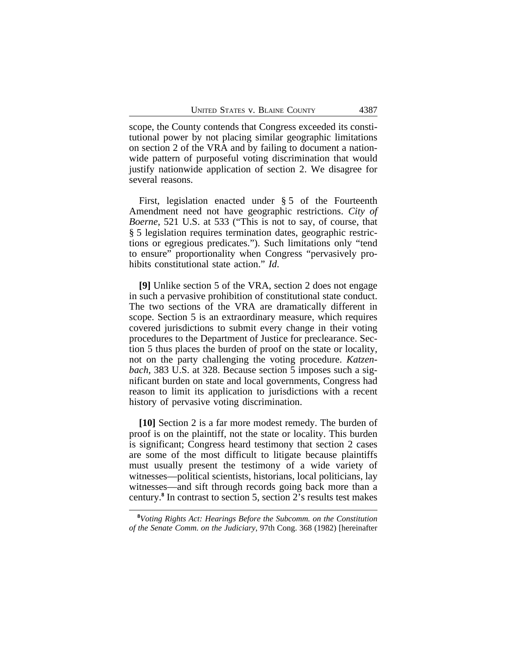scope, the County contends that Congress exceeded its constitutional power by not placing similar geographic limitations on section 2 of the VRA and by failing to document a nationwide pattern of purposeful voting discrimination that would justify nationwide application of section 2. We disagree for several reasons.

First, legislation enacted under § 5 of the Fourteenth Amendment need not have geographic restrictions. *City of Boerne*, 521 U.S. at 533 ("This is not to say, of course, that § 5 legislation requires termination dates, geographic restrictions or egregious predicates."). Such limitations only "tend to ensure" proportionality when Congress "pervasively prohibits constitutional state action." *Id*.

**[9]** Unlike section 5 of the VRA, section 2 does not engage in such a pervasive prohibition of constitutional state conduct. The two sections of the VRA are dramatically different in scope. Section 5 is an extraordinary measure, which requires covered jurisdictions to submit every change in their voting procedures to the Department of Justice for preclearance. Section 5 thus places the burden of proof on the state or locality, not on the party challenging the voting procedure. *Katzenbach*, 383 U.S. at 328. Because section 5 imposes such a significant burden on state and local governments, Congress had reason to limit its application to jurisdictions with a recent history of pervasive voting discrimination.

**[10]** Section 2 is a far more modest remedy. The burden of proof is on the plaintiff, not the state or locality. This burden is significant; Congress heard testimony that section 2 cases are some of the most difficult to litigate because plaintiffs must usually present the testimony of a wide variety of witnesses—political scientists, historians, local politicians, lay witnesses—and sift through records going back more than a century.**<sup>8</sup>** In contrast to section 5, section 2's results test makes

**<sup>8</sup>***Voting Rights Act: Hearings Before the Subcomm. on the Constitution of the Senate Comm. on the Judiciary*, 97th Cong. 368 (1982) [hereinafter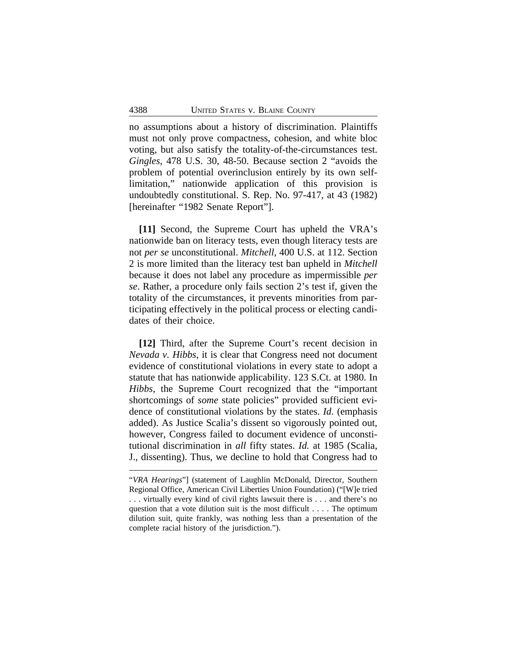no assumptions about a history of discrimination. Plaintiffs must not only prove compactness, cohesion, and white bloc voting, but also satisfy the totality-of-the-circumstances test. *Gingles*, 478 U.S. 30, 48-50. Because section 2 "avoids the problem of potential overinclusion entirely by its own selflimitation," nationwide application of this provision is undoubtedly constitutional. S. Rep. No. 97-417, at 43 (1982) [hereinafter "1982 Senate Report"].

**[11]** Second, the Supreme Court has upheld the VRA's nationwide ban on literacy tests, even though literacy tests are not *per se* unconstitutional. *Mitchell*, 400 U.S. at 112. Section 2 is more limited than the literacy test ban upheld in *Mitchell* because it does not label any procedure as impermissible *per se*. Rather, a procedure only fails section 2's test if, given the totality of the circumstances, it prevents minorities from participating effectively in the political process or electing candidates of their choice.

**[12]** Third, after the Supreme Court's recent decision in *Nevada v. Hibbs*, it is clear that Congress need not document evidence of constitutional violations in every state to adopt a statute that has nationwide applicability. 123 S.Ct. at 1980. In *Hibbs*, the Supreme Court recognized that the "important shortcomings of *some* state policies" provided sufficient evidence of constitutional violations by the states. *Id*. (emphasis added). As Justice Scalia's dissent so vigorously pointed out, however, Congress failed to document evidence of unconstitutional discrimination in *all* fifty states. *Id.* at 1985 (Scalia, J., dissenting). Thus, we decline to hold that Congress had to

<sup>&</sup>quot;*VRA Hearings*"] (statement of Laughlin McDonald, Director, Southern Regional Office, American Civil Liberties Union Foundation) ("[W]e tried . . . virtually every kind of civil rights lawsuit there is . . . and there's no question that a vote dilution suit is the most difficult . . . . The optimum dilution suit, quite frankly, was nothing less than a presentation of the complete racial history of the jurisdiction.").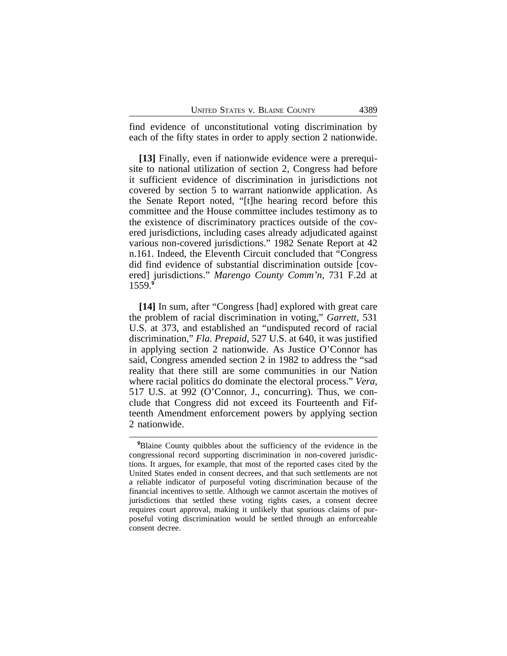find evidence of unconstitutional voting discrimination by each of the fifty states in order to apply section 2 nationwide.

**[13]** Finally, even if nationwide evidence were a prerequisite to national utilization of section 2, Congress had before it sufficient evidence of discrimination in jurisdictions not covered by section 5 to warrant nationwide application. As the Senate Report noted, "[t]he hearing record before this committee and the House committee includes testimony as to the existence of discriminatory practices outside of the covered jurisdictions, including cases already adjudicated against various non-covered jurisdictions." 1982 Senate Report at 42 n.161. Indeed, the Eleventh Circuit concluded that "Congress did find evidence of substantial discrimination outside [covered] jurisdictions." *Marengo County Comm'n*, 731 F.2d at 1559.**<sup>9</sup>**

**[14]** In sum, after "Congress [had] explored with great care the problem of racial discrimination in voting," *Garrett*, 531 U.S. at 373, and established an "undisputed record of racial discrimination," *Fla. Prepaid*, 527 U.S. at 640, it was justified in applying section 2 nationwide. As Justice O'Connor has said, Congress amended section 2 in 1982 to address the "sad reality that there still are some communities in our Nation where racial politics do dominate the electoral process." *Vera*, 517 U.S. at 992 (O'Connor, J., concurring). Thus, we conclude that Congress did not exceed its Fourteenth and Fifteenth Amendment enforcement powers by applying section 2 nationwide.

**<sup>9</sup>**Blaine County quibbles about the sufficiency of the evidence in the congressional record supporting discrimination in non-covered jurisdictions. It argues, for example, that most of the reported cases cited by the United States ended in consent decrees, and that such settlements are not a reliable indicator of purposeful voting discrimination because of the financial incentives to settle. Although we cannot ascertain the motives of jurisdictions that settled these voting rights cases, a consent decree requires court approval, making it unlikely that spurious claims of purposeful voting discrimination would be settled through an enforceable consent decree.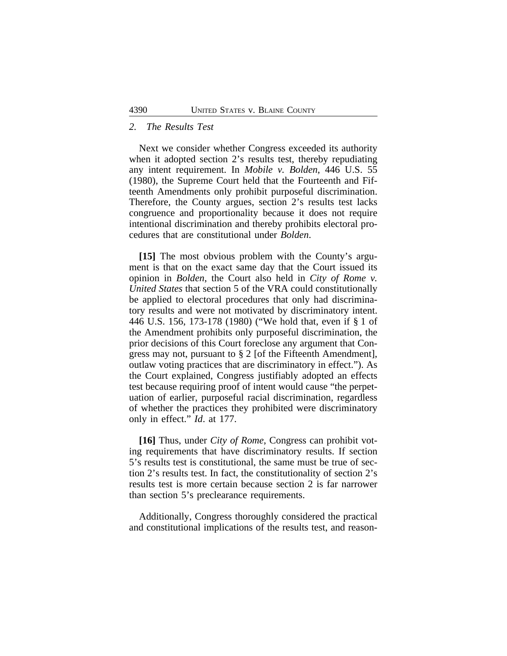#### *2. The Results Test*

Next we consider whether Congress exceeded its authority when it adopted section 2's results test, thereby repudiating any intent requirement. In *Mobile v. Bolden*, 446 U.S. 55 (1980), the Supreme Court held that the Fourteenth and Fifteenth Amendments only prohibit purposeful discrimination. Therefore, the County argues, section 2's results test lacks congruence and proportionality because it does not require intentional discrimination and thereby prohibits electoral procedures that are constitutional under *Bolden*.

**[15]** The most obvious problem with the County's argument is that on the exact same day that the Court issued its opinion in *Bolden*, the Court also held in *City of Rome v. United States* that section 5 of the VRA could constitutionally be applied to electoral procedures that only had discriminatory results and were not motivated by discriminatory intent. 446 U.S. 156, 173-178 (1980) ("We hold that, even if § 1 of the Amendment prohibits only purposeful discrimination, the prior decisions of this Court foreclose any argument that Congress may not, pursuant to § 2 [of the Fifteenth Amendment], outlaw voting practices that are discriminatory in effect."). As the Court explained, Congress justifiably adopted an effects test because requiring proof of intent would cause "the perpetuation of earlier, purposeful racial discrimination, regardless of whether the practices they prohibited were discriminatory only in effect." *Id*. at 177.

**[16]** Thus, under *City of Rome*, Congress can prohibit voting requirements that have discriminatory results. If section 5's results test is constitutional, the same must be true of section 2's results test. In fact, the constitutionality of section 2's results test is more certain because section 2 is far narrower than section 5's preclearance requirements.

Additionally, Congress thoroughly considered the practical and constitutional implications of the results test, and reason-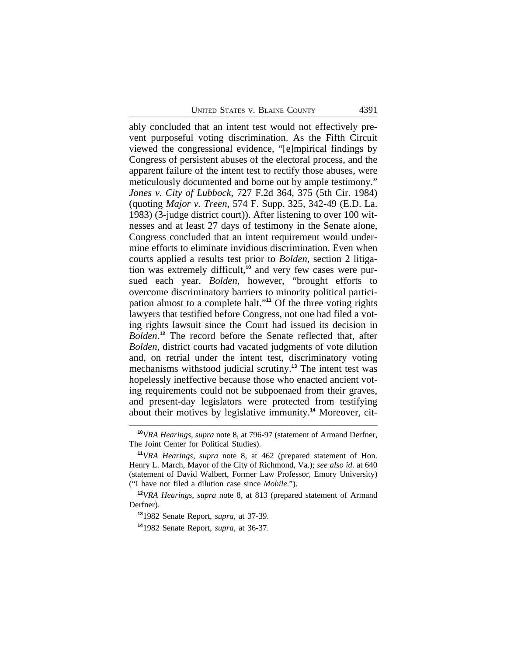ably concluded that an intent test would not effectively prevent purposeful voting discrimination. As the Fifth Circuit viewed the congressional evidence, "[e]mpirical findings by Congress of persistent abuses of the electoral process, and the apparent failure of the intent test to rectify those abuses, were meticulously documented and borne out by ample testimony." *Jones v. City of Lubbock*, 727 F.2d 364, 375 (5th Cir. 1984) (quoting *Major v. Treen*, 574 F. Supp. 325, 342-49 (E.D. La. 1983) (3-judge district court)). After listening to over 100 witnesses and at least 27 days of testimony in the Senate alone, Congress concluded that an intent requirement would undermine efforts to eliminate invidious discrimination. Even when courts applied a results test prior to *Bolden*, section 2 litigation was extremely difficult,**10** and very few cases were pursued each year. *Bolden*, however, "brought efforts to overcome discriminatory barriers to minority political participation almost to a complete halt." **<sup>11</sup>** Of the three voting rights lawyers that testified before Congress, not one had filed a voting rights lawsuit since the Court had issued its decision in *Bolden*. **<sup>12</sup>** The record before the Senate reflected that, after *Bolden*, district courts had vacated judgments of vote dilution and, on retrial under the intent test, discriminatory voting mechanisms withstood judicial scrutiny.**<sup>13</sup>** The intent test was hopelessly ineffective because those who enacted ancient voting requirements could not be subpoenaed from their graves, and present-day legislators were protected from testifying about their motives by legislative immunity.**14** Moreover, cit-

**<sup>10</sup>***VRA Hearings*, *supra* note 8, at 796-97 (statement of Armand Derfner, The Joint Center for Political Studies).

**<sup>11</sup>***VRA Hearings*, *supra* note 8, at 462 (prepared statement of Hon. Henry L. March, Mayor of the City of Richmond, Va.); *see also id*. at 640 (statement of David Walbert, Former Law Professor, Emory University) ("I have not filed a dilution case since *Mobile*.").

**<sup>12</sup>***VRA Hearings*, *supra* note 8, at 813 (prepared statement of Armand Derfner).

**<sup>13</sup>**1982 Senate Report, *supra*, at 37-39.

**<sup>14</sup>**1982 Senate Report, *supra*, at 36-37.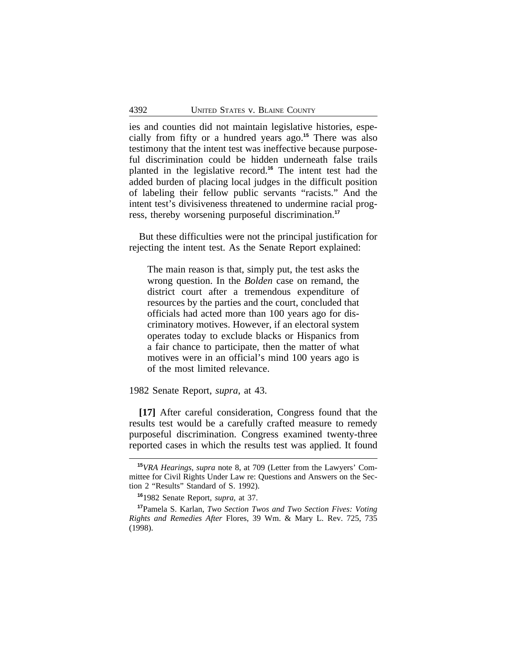ies and counties did not maintain legislative histories, especially from fifty or a hundred years ago.**<sup>15</sup>** There was also testimony that the intent test was ineffective because purposeful discrimination could be hidden underneath false trails planted in the legislative record.**<sup>16</sup>** The intent test had the added burden of placing local judges in the difficult position of labeling their fellow public servants "racists." And the intent test's divisiveness threatened to undermine racial progress, thereby worsening purposeful discrimination.**<sup>17</sup>**

But these difficulties were not the principal justification for rejecting the intent test. As the Senate Report explained:

The main reason is that, simply put, the test asks the wrong question. In the *Bolden* case on remand, the district court after a tremendous expenditure of resources by the parties and the court, concluded that officials had acted more than 100 years ago for discriminatory motives. However, if an electoral system operates today to exclude blacks or Hispanics from a fair chance to participate, then the matter of what motives were in an official's mind 100 years ago is of the most limited relevance.

1982 Senate Report, *supra*, at 43.

**[17]** After careful consideration, Congress found that the results test would be a carefully crafted measure to remedy purposeful discrimination. Congress examined twenty-three reported cases in which the results test was applied. It found

**<sup>15</sup>***VRA Hearings*, *supra* note 8, at 709 (Letter from the Lawyers' Committee for Civil Rights Under Law re: Questions and Answers on the Section 2 "Results" Standard of S. 1992).

**<sup>16</sup>**1982 Senate Report, *supra*, at 37.

**<sup>17</sup>**Pamela S. Karlan, *Two Section Twos and Two Section Fives: Voting Rights and Remedies After* Flores, 39 Wm. & Mary L. Rev. 725, 735 (1998).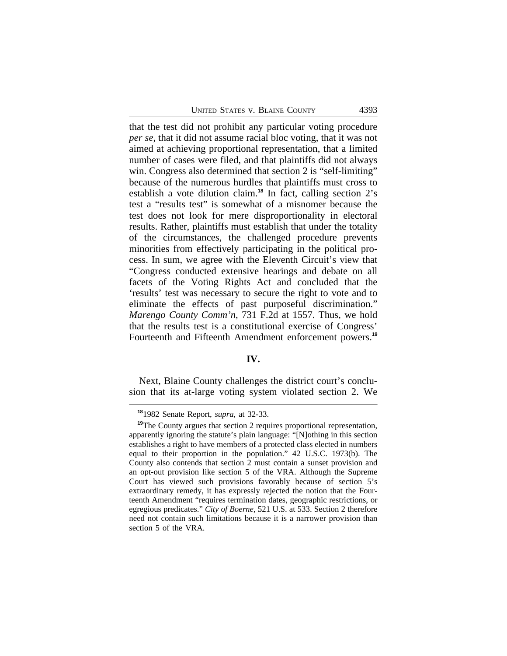that the test did not prohibit any particular voting procedure *per se*, that it did not assume racial bloc voting, that it was not aimed at achieving proportional representation, that a limited number of cases were filed, and that plaintiffs did not always win. Congress also determined that section 2 is "self-limiting" because of the numerous hurdles that plaintiffs must cross to establish a vote dilution claim.**<sup>18</sup>** In fact, calling section 2's test a "results test" is somewhat of a misnomer because the test does not look for mere disproportionality in electoral results. Rather, plaintiffs must establish that under the totality of the circumstances, the challenged procedure prevents minorities from effectively participating in the political process. In sum, we agree with the Eleventh Circuit's view that "Congress conducted extensive hearings and debate on all facets of the Voting Rights Act and concluded that the 'results' test was necessary to secure the right to vote and to eliminate the effects of past purposeful discrimination." *Marengo County Comm'n*, 731 F.2d at 1557. Thus, we hold that the results test is a constitutional exercise of Congress' Fourteenth and Fifteenth Amendment enforcement powers.**<sup>19</sup>**

#### **IV.**

Next, Blaine County challenges the district court's conclusion that its at-large voting system violated section 2. We

**<sup>18</sup>**1982 Senate Report, *supra*, at 32-33.

**<sup>19</sup>**The County argues that section 2 requires proportional representation, apparently ignoring the statute's plain language: "[N]othing in this section establishes a right to have members of a protected class elected in numbers equal to their proportion in the population." 42 U.S.C. 1973(b). The County also contends that section 2 must contain a sunset provision and an opt-out provision like section 5 of the VRA. Although the Supreme Court has viewed such provisions favorably because of section 5's extraordinary remedy, it has expressly rejected the notion that the Fourteenth Amendment "requires termination dates, geographic restrictions, or egregious predicates." *City of Boerne*, 521 U.S. at 533. Section 2 therefore need not contain such limitations because it is a narrower provision than section 5 of the VRA.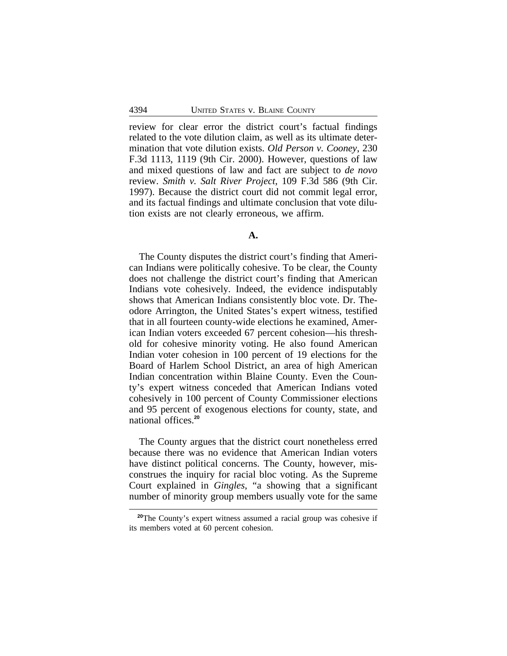review for clear error the district court's factual findings related to the vote dilution claim, as well as its ultimate determination that vote dilution exists. *Old Person v. Cooney*, 230 F.3d 1113, 1119 (9th Cir. 2000). However, questions of law and mixed questions of law and fact are subject to *de novo* review. *Smith v. Salt River Project*, 109 F.3d 586 (9th Cir. 1997). Because the district court did not commit legal error, and its factual findings and ultimate conclusion that vote dilution exists are not clearly erroneous, we affirm.

#### **A.**

The County disputes the district court's finding that American Indians were politically cohesive. To be clear, the County does not challenge the district court's finding that American Indians vote cohesively. Indeed, the evidence indisputably shows that American Indians consistently bloc vote. Dr. Theodore Arrington, the United States's expert witness, testified that in all fourteen county-wide elections he examined, American Indian voters exceeded 67 percent cohesion—his threshold for cohesive minority voting. He also found American Indian voter cohesion in 100 percent of 19 elections for the Board of Harlem School District, an area of high American Indian concentration within Blaine County. Even the County's expert witness conceded that American Indians voted cohesively in 100 percent of County Commissioner elections and 95 percent of exogenous elections for county, state, and national offices.**<sup>20</sup>**

The County argues that the district court nonetheless erred because there was no evidence that American Indian voters have distinct political concerns. The County, however, misconstrues the inquiry for racial bloc voting. As the Supreme Court explained in *Gingles*, "a showing that a significant number of minority group members usually vote for the same

**<sup>20</sup>**The County's expert witness assumed a racial group was cohesive if its members voted at 60 percent cohesion.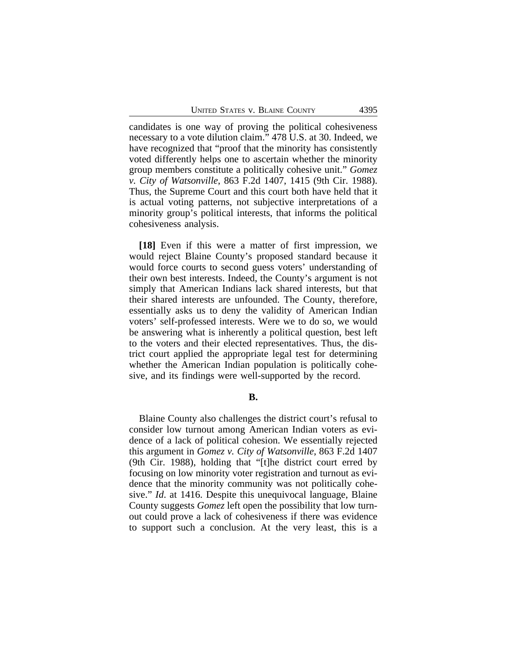candidates is one way of proving the political cohesiveness necessary to a vote dilution claim." 478 U.S. at 30. Indeed, we have recognized that "proof that the minority has consistently voted differently helps one to ascertain whether the minority group members constitute a politically cohesive unit." *Gomez v. City of Watsonville*, 863 F.2d 1407, 1415 (9th Cir. 1988). Thus, the Supreme Court and this court both have held that it is actual voting patterns, not subjective interpretations of a minority group's political interests, that informs the political cohesiveness analysis.

**[18]** Even if this were a matter of first impression, we would reject Blaine County's proposed standard because it would force courts to second guess voters' understanding of their own best interests. Indeed, the County's argument is not simply that American Indians lack shared interests, but that their shared interests are unfounded. The County, therefore, essentially asks us to deny the validity of American Indian voters' self-professed interests. Were we to do so, we would be answering what is inherently a political question, best left to the voters and their elected representatives. Thus, the district court applied the appropriate legal test for determining whether the American Indian population is politically cohesive, and its findings were well-supported by the record.

**B.**

Blaine County also challenges the district court's refusal to consider low turnout among American Indian voters as evidence of a lack of political cohesion. We essentially rejected this argument in *Gomez v. City of Watsonville*, 863 F.2d 1407 (9th Cir. 1988), holding that "[t]he district court erred by focusing on low minority voter registration and turnout as evidence that the minority community was not politically cohesive." *Id*. at 1416. Despite this unequivocal language, Blaine County suggests *Gomez* left open the possibility that low turnout could prove a lack of cohesiveness if there was evidence to support such a conclusion. At the very least, this is a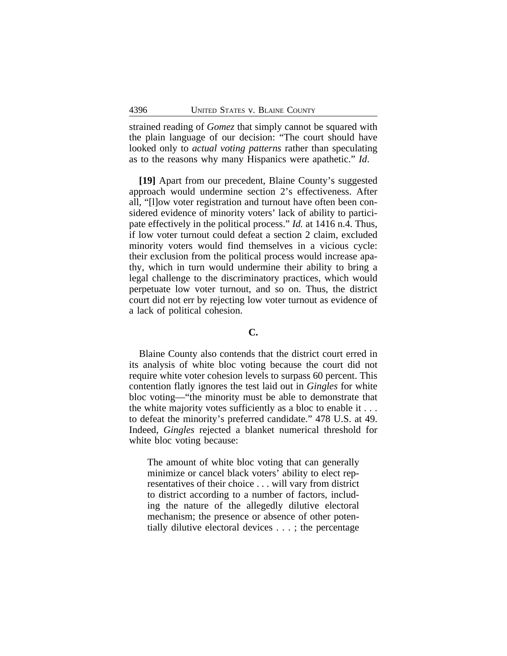strained reading of *Gomez* that simply cannot be squared with the plain language of our decision: "The court should have looked only to *actual voting patterns* rather than speculating as to the reasons why many Hispanics were apathetic." *Id*.

**[19]** Apart from our precedent, Blaine County's suggested approach would undermine section 2's effectiveness. After all, "[l]ow voter registration and turnout have often been considered evidence of minority voters' lack of ability to participate effectively in the political process." *Id.* at 1416 n.4. Thus, if low voter turnout could defeat a section 2 claim, excluded minority voters would find themselves in a vicious cycle: their exclusion from the political process would increase apathy, which in turn would undermine their ability to bring a legal challenge to the discriminatory practices, which would perpetuate low voter turnout, and so on. Thus, the district court did not err by rejecting low voter turnout as evidence of a lack of political cohesion.

## **C.**

Blaine County also contends that the district court erred in its analysis of white bloc voting because the court did not require white voter cohesion levels to surpass 60 percent. This contention flatly ignores the test laid out in *Gingles* for white bloc voting—"the minority must be able to demonstrate that the white majority votes sufficiently as a bloc to enable it . . . to defeat the minority's preferred candidate." 478 U.S. at 49. Indeed, *Gingles* rejected a blanket numerical threshold for white bloc voting because:

The amount of white bloc voting that can generally minimize or cancel black voters' ability to elect representatives of their choice . . . will vary from district to district according to a number of factors, including the nature of the allegedly dilutive electoral mechanism; the presence or absence of other potentially dilutive electoral devices . . . ; the percentage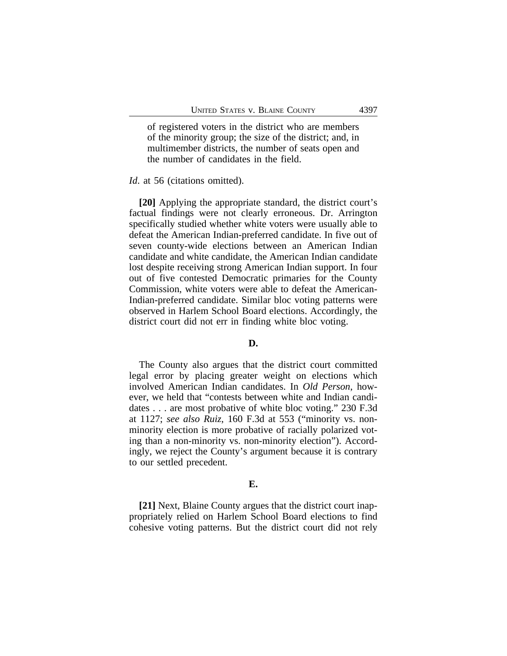of registered voters in the district who are members of the minority group; the size of the district; and, in multimember districts, the number of seats open and the number of candidates in the field.

#### *Id*. at 56 (citations omitted).

**[20]** Applying the appropriate standard, the district court's factual findings were not clearly erroneous. Dr. Arrington specifically studied whether white voters were usually able to defeat the American Indian-preferred candidate. In five out of seven county-wide elections between an American Indian candidate and white candidate, the American Indian candidate lost despite receiving strong American Indian support. In four out of five contested Democratic primaries for the County Commission, white voters were able to defeat the American-Indian-preferred candidate. Similar bloc voting patterns were observed in Harlem School Board elections. Accordingly, the district court did not err in finding white bloc voting.

#### **D.**

The County also argues that the district court committed legal error by placing greater weight on elections which involved American Indian candidates. In *Old Person*, however, we held that "contests between white and Indian candidates . . . are most probative of white bloc voting." 230 F.3d at 1127; *see also Ruiz*, 160 F.3d at 553 ("minority vs. nonminority election is more probative of racially polarized voting than a non-minority vs. non-minority election"). Accordingly, we reject the County's argument because it is contrary to our settled precedent.

#### **E.**

**[21]** Next, Blaine County argues that the district court inappropriately relied on Harlem School Board elections to find cohesive voting patterns. But the district court did not rely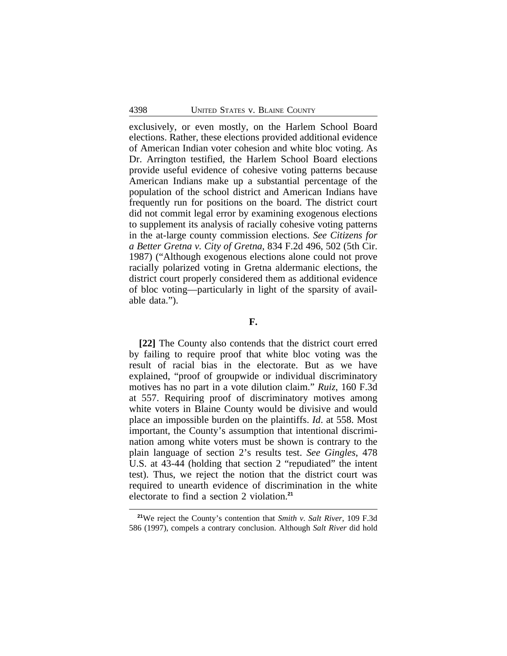exclusively, or even mostly, on the Harlem School Board elections. Rather, these elections provided additional evidence of American Indian voter cohesion and white bloc voting. As Dr. Arrington testified, the Harlem School Board elections provide useful evidence of cohesive voting patterns because American Indians make up a substantial percentage of the population of the school district and American Indians have frequently run for positions on the board. The district court did not commit legal error by examining exogenous elections to supplement its analysis of racially cohesive voting patterns in the at-large county commission elections. *See Citizens for a Better Gretna v. City of Gretna*, 834 F.2d 496, 502 (5th Cir. 1987) ("Although exogenous elections alone could not prove racially polarized voting in Gretna aldermanic elections, the district court properly considered them as additional evidence of bloc voting—particularly in light of the sparsity of available data.").

#### **F.**

**[22]** The County also contends that the district court erred by failing to require proof that white bloc voting was the result of racial bias in the electorate. But as we have explained, "proof of groupwide or individual discriminatory motives has no part in a vote dilution claim." *Ruiz*, 160 F.3d at 557. Requiring proof of discriminatory motives among white voters in Blaine County would be divisive and would place an impossible burden on the plaintiffs. *Id*. at 558. Most important, the County's assumption that intentional discrimination among white voters must be shown is contrary to the plain language of section 2's results test. *See Gingles*, 478 U.S. at 43-44 (holding that section 2 "repudiated" the intent test). Thus, we reject the notion that the district court was required to unearth evidence of discrimination in the white electorate to find a section 2 violation.**<sup>21</sup>**

**<sup>21</sup>**We reject the County's contention that *Smith v. Salt River*, 109 F.3d 586 (1997), compels a contrary conclusion. Although *Salt River* did hold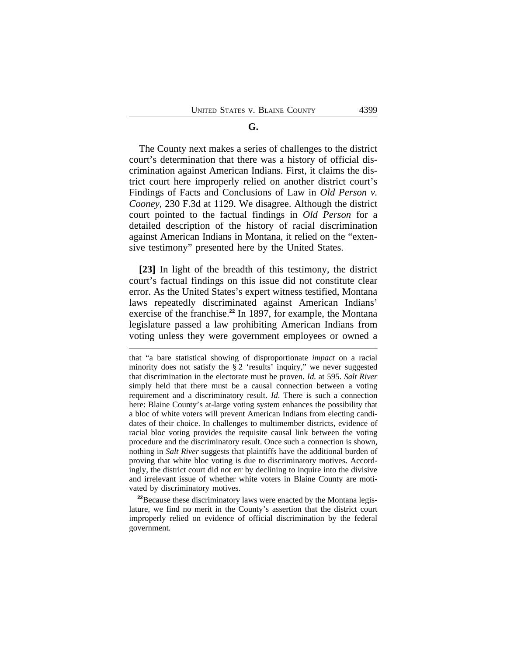#### **G.**

The County next makes a series of challenges to the district court's determination that there was a history of official discrimination against American Indians. First, it claims the district court here improperly relied on another district court's Findings of Facts and Conclusions of Law in *Old Person v. Cooney*, 230 F.3d at 1129. We disagree. Although the district court pointed to the factual findings in *Old Person* for a detailed description of the history of racial discrimination against American Indians in Montana, it relied on the "extensive testimony" presented here by the United States.

**[23]** In light of the breadth of this testimony, the district court's factual findings on this issue did not constitute clear error. As the United States's expert witness testified, Montana laws repeatedly discriminated against American Indians' exercise of the franchise.**<sup>22</sup>** In 1897, for example, the Montana legislature passed a law prohibiting American Indians from voting unless they were government employees or owned a

<sup>22</sup>Because these discriminatory laws were enacted by the Montana legislature, we find no merit in the County's assertion that the district court improperly relied on evidence of official discrimination by the federal government.

that "a bare statistical showing of disproportionate *impact* on a racial minority does not satisfy the § 2 'results' inquiry," we never suggested that discrimination in the electorate must be proven. *Id.* at 595. *Salt River* simply held that there must be a causal connection between a voting requirement and a discriminatory result. *Id*. There is such a connection here: Blaine County's at-large voting system enhances the possibility that a bloc of white voters will prevent American Indians from electing candidates of their choice. In challenges to multimember districts, evidence of racial bloc voting provides the requisite causal link between the voting procedure and the discriminatory result. Once such a connection is shown, nothing in *Salt River* suggests that plaintiffs have the additional burden of proving that white bloc voting is due to discriminatory motives. Accordingly, the district court did not err by declining to inquire into the divisive and irrelevant issue of whether white voters in Blaine County are motivated by discriminatory motives.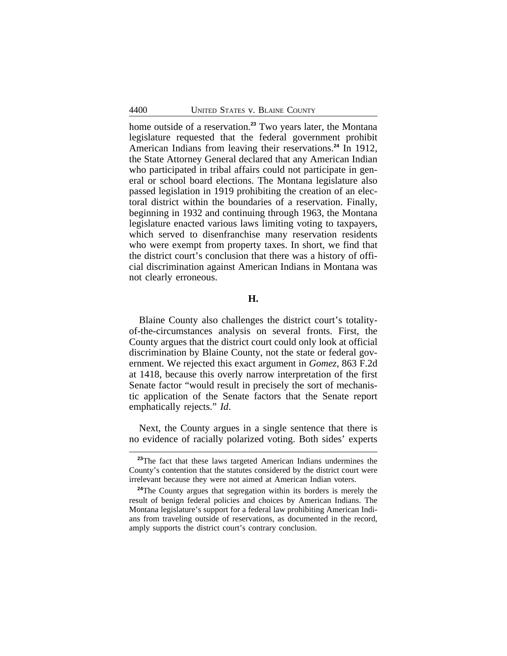home outside of a reservation.**<sup>23</sup>** Two years later, the Montana legislature requested that the federal government prohibit American Indians from leaving their reservations.**<sup>24</sup>** In 1912, the State Attorney General declared that any American Indian who participated in tribal affairs could not participate in general or school board elections. The Montana legislature also passed legislation in 1919 prohibiting the creation of an electoral district within the boundaries of a reservation. Finally, beginning in 1932 and continuing through 1963, the Montana legislature enacted various laws limiting voting to taxpayers, which served to disenfranchise many reservation residents who were exempt from property taxes. In short, we find that the district court's conclusion that there was a history of official discrimination against American Indians in Montana was not clearly erroneous.

#### **H.**

Blaine County also challenges the district court's totalityof-the-circumstances analysis on several fronts. First, the County argues that the district court could only look at official discrimination by Blaine County, not the state or federal government. We rejected this exact argument in *Gomez*, 863 F.2d at 1418, because this overly narrow interpretation of the first Senate factor "would result in precisely the sort of mechanistic application of the Senate factors that the Senate report emphatically rejects." *Id*.

Next, the County argues in a single sentence that there is no evidence of racially polarized voting. Both sides' experts

<sup>&</sup>lt;sup>23</sup>The fact that these laws targeted American Indians undermines the County's contention that the statutes considered by the district court were irrelevant because they were not aimed at American Indian voters.

<sup>&</sup>lt;sup>24</sup>The County argues that segregation within its borders is merely the result of benign federal policies and choices by American Indians. The Montana legislature's support for a federal law prohibiting American Indians from traveling outside of reservations, as documented in the record, amply supports the district court's contrary conclusion.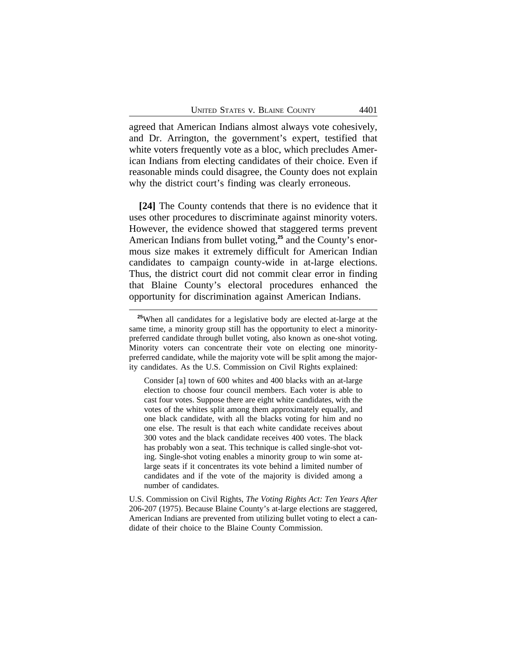agreed that American Indians almost always vote cohesively, and Dr. Arrington, the government's expert, testified that white voters frequently vote as a bloc, which precludes American Indians from electing candidates of their choice. Even if reasonable minds could disagree, the County does not explain why the district court's finding was clearly erroneous.

**[24]** The County contends that there is no evidence that it uses other procedures to discriminate against minority voters. However, the evidence showed that staggered terms prevent American Indians from bullet voting,**25** and the County's enormous size makes it extremely difficult for American Indian candidates to campaign county-wide in at-large elections. Thus, the district court did not commit clear error in finding that Blaine County's electoral procedures enhanced the opportunity for discrimination against American Indians.

Consider [a] town of 600 whites and 400 blacks with an at-large election to choose four council members. Each voter is able to cast four votes. Suppose there are eight white candidates, with the votes of the whites split among them approximately equally, and one black candidate, with all the blacks voting for him and no one else. The result is that each white candidate receives about 300 votes and the black candidate receives 400 votes. The black has probably won a seat. This technique is called single-shot voting. Single-shot voting enables a minority group to win some atlarge seats if it concentrates its vote behind a limited number of candidates and if the vote of the majority is divided among a number of candidates.

U.S. Commission on Civil Rights, *The Voting Rights Act: Ten Years After* 206-207 (1975). Because Blaine County's at-large elections are staggered, American Indians are prevented from utilizing bullet voting to elect a candidate of their choice to the Blaine County Commission.

**<sup>25</sup>**When all candidates for a legislative body are elected at-large at the same time, a minority group still has the opportunity to elect a minoritypreferred candidate through bullet voting, also known as one-shot voting. Minority voters can concentrate their vote on electing one minoritypreferred candidate, while the majority vote will be split among the majority candidates. As the U.S. Commission on Civil Rights explained: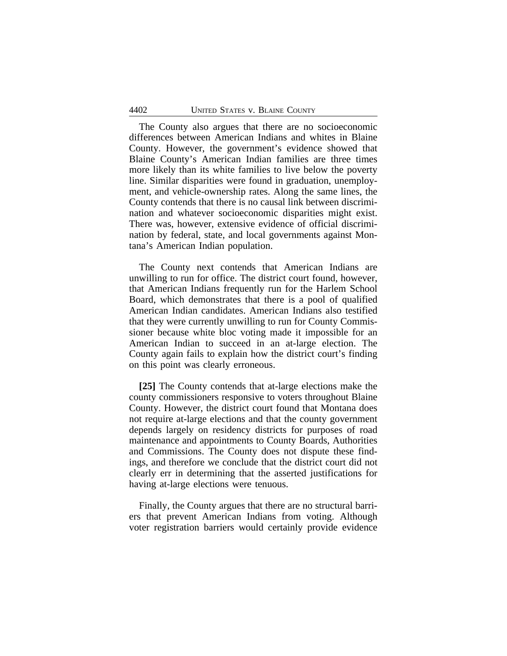The County also argues that there are no socioeconomic differences between American Indians and whites in Blaine County. However, the government's evidence showed that Blaine County's American Indian families are three times more likely than its white families to live below the poverty line. Similar disparities were found in graduation, unemployment, and vehicle-ownership rates. Along the same lines, the County contends that there is no causal link between discrimination and whatever socioeconomic disparities might exist. There was, however, extensive evidence of official discrimination by federal, state, and local governments against Montana's American Indian population.

The County next contends that American Indians are unwilling to run for office. The district court found, however, that American Indians frequently run for the Harlem School Board, which demonstrates that there is a pool of qualified American Indian candidates. American Indians also testified that they were currently unwilling to run for County Commissioner because white bloc voting made it impossible for an American Indian to succeed in an at-large election. The County again fails to explain how the district court's finding on this point was clearly erroneous.

**[25]** The County contends that at-large elections make the county commissioners responsive to voters throughout Blaine County. However, the district court found that Montana does not require at-large elections and that the county government depends largely on residency districts for purposes of road maintenance and appointments to County Boards, Authorities and Commissions. The County does not dispute these findings, and therefore we conclude that the district court did not clearly err in determining that the asserted justifications for having at-large elections were tenuous.

Finally, the County argues that there are no structural barriers that prevent American Indians from voting. Although voter registration barriers would certainly provide evidence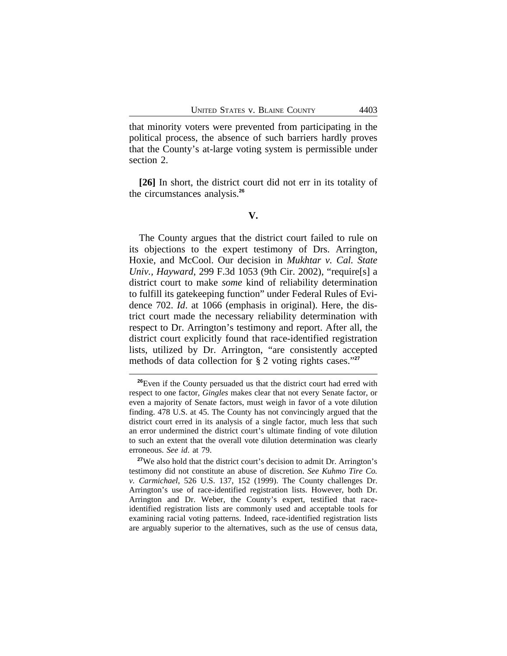that minority voters were prevented from participating in the political process, the absence of such barriers hardly proves that the County's at-large voting system is permissible under section 2.

**[26]** In short, the district court did not err in its totality of the circumstances analysis.**<sup>26</sup>**

#### **V.**

The County argues that the district court failed to rule on its objections to the expert testimony of Drs. Arrington, Hoxie, and McCool. Our decision in *Mukhtar v. Cal. State Univ., Hayward*, 299 F.3d 1053 (9th Cir. 2002), "require[s] a district court to make *some* kind of reliability determination to fulfill its gatekeeping function" under Federal Rules of Evidence 702. *Id*. at 1066 (emphasis in original). Here, the district court made the necessary reliability determination with respect to Dr. Arrington's testimony and report. After all, the district court explicitly found that race-identified registration lists, utilized by Dr. Arrington, "are consistently accepted methods of data collection for § 2 voting rights cases." **27**

**<sup>26</sup>**Even if the County persuaded us that the district court had erred with respect to one factor, *Gingles* makes clear that not every Senate factor, or even a majority of Senate factors, must weigh in favor of a vote dilution finding. 478 U.S. at 45. The County has not convincingly argued that the district court erred in its analysis of a single factor, much less that such an error undermined the district court's ultimate finding of vote dilution to such an extent that the overall vote dilution determination was clearly erroneous. *See id*. at 79.

**<sup>27</sup>**We also hold that the district court's decision to admit Dr. Arrington's testimony did not constitute an abuse of discretion. *See Kuhmo Tire Co. v. Carmichael*, 526 U.S. 137, 152 (1999). The County challenges Dr. Arrington's use of race-identified registration lists. However, both Dr. Arrington and Dr. Weber, the County's expert, testified that raceidentified registration lists are commonly used and acceptable tools for examining racial voting patterns. Indeed, race-identified registration lists are arguably superior to the alternatives, such as the use of census data,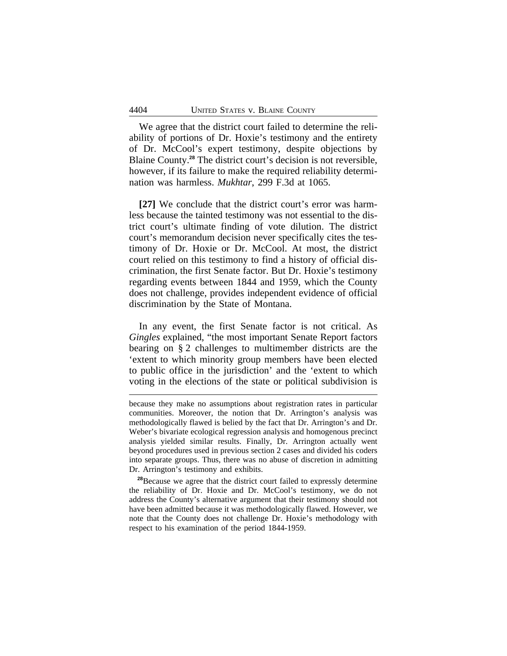We agree that the district court failed to determine the reliability of portions of Dr. Hoxie's testimony and the entirety of Dr. McCool's expert testimony, despite objections by Blaine County.**<sup>28</sup>** The district court's decision is not reversible, however, if its failure to make the required reliability determination was harmless. *Mukhtar*, 299 F.3d at 1065.

**[27]** We conclude that the district court's error was harmless because the tainted testimony was not essential to the district court's ultimate finding of vote dilution. The district court's memorandum decision never specifically cites the testimony of Dr. Hoxie or Dr. McCool. At most, the district court relied on this testimony to find a history of official discrimination, the first Senate factor. But Dr. Hoxie's testimony regarding events between 1844 and 1959, which the County does not challenge, provides independent evidence of official discrimination by the State of Montana.

In any event, the first Senate factor is not critical. As *Gingles* explained, "the most important Senate Report factors bearing on § 2 challenges to multimember districts are the 'extent to which minority group members have been elected to public office in the jurisdiction' and the 'extent to which voting in the elections of the state or political subdivision is

**<sup>28</sup>**Because we agree that the district court failed to expressly determine the reliability of Dr. Hoxie and Dr. McCool's testimony, we do not address the County's alternative argument that their testimony should not have been admitted because it was methodologically flawed. However, we note that the County does not challenge Dr. Hoxie's methodology with respect to his examination of the period 1844-1959.

because they make no assumptions about registration rates in particular communities. Moreover, the notion that Dr. Arrington's analysis was methodologically flawed is belied by the fact that Dr. Arrington's and Dr. Weber's bivariate ecological regression analysis and homogenous precinct analysis yielded similar results. Finally, Dr. Arrington actually went beyond procedures used in previous section 2 cases and divided his coders into separate groups. Thus, there was no abuse of discretion in admitting Dr. Arrington's testimony and exhibits.